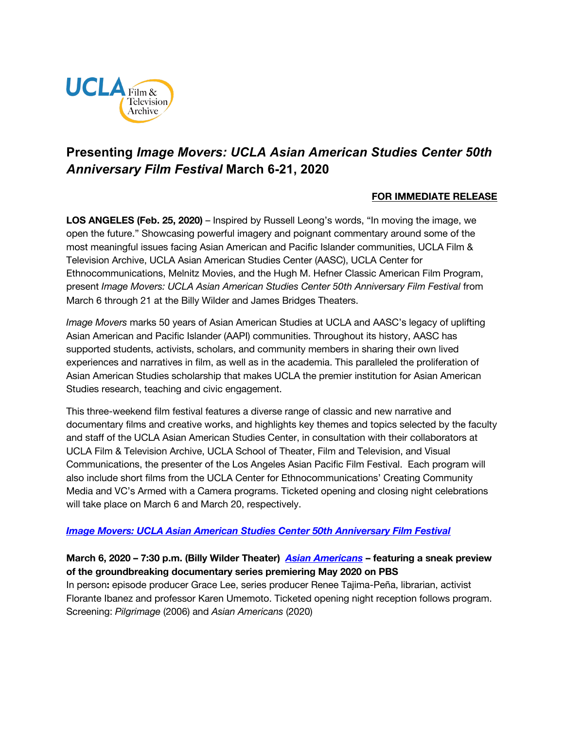

# **Presenting** *Image Movers: UCLA Asian American Studies Center 50th Anniversary Film Festival* **March 6-21, 2020**

# **FOR IMMEDIATE RELEASE**

**LOS ANGELES (Feb. 25, 2020)** – Inspired by Russell Leong's words, "In moving the image, we open the future." Showcasing powerful imagery and poignant commentary around some of the most meaningful issues facing Asian American and Pacific Islander communities, UCLA Film & Television Archive, UCLA Asian American Studies Center (AASC), UCLA Center for Ethnocommunications, Melnitz Movies, and the Hugh M. Hefner Classic American Film Program, present *Image Movers: UCLA Asian American Studies Center 50th Anniversary Film Festival* from March 6 through 21 at the Billy Wilder and James Bridges Theaters.

*Image Movers* marks 50 years of Asian American Studies at UCLA and AASC's legacy of uplifting Asian American and Pacific Islander (AAPI) communities. Throughout its history, AASC has supported students, activists, scholars, and community members in sharing their own lived experiences and narratives in film, as well as in the academia. This paralleled the proliferation of Asian American Studies scholarship that makes UCLA the premier institution for Asian American Studies research, teaching and civic engagement.

This three-weekend film festival features a diverse range of classic and new narrative and documentary films and creative works, and highlights key themes and topics selected by the faculty and staff of the UCLA Asian American Studies Center, in consultation with their collaborators at UCLA Film & Television Archive, UCLA School of Theater, Film and Television, and Visual Communications, the presenter of the Los Angeles Asian Pacific Film Festival. Each program will also include short films from the UCLA Center for Ethnocommunications' Creating Community Media and VC's Armed with a Camera programs. Ticketed opening and closing night celebrations will take place on March 6 and March 20, respectively.

## *[Image Movers: UCLA Asian American Studies Center 50th Anniversary Film Festival](https://www.cinema.ucla.edu/events/2020/image-movers-ucla-asian-american-studies-center)*

**March 6, 2020 – 7:30 p.m. (Billy Wilder Theater)** *[Asian Americans](https://www.cinema.ucla.edu/events/2020/03/06/asian-americans)* **– featuring a sneak preview of the groundbreaking documentary series premiering May 2020 on PBS** In person**:** episode producer Grace Lee, series producer Renee Tajima-Peña, librarian, activist Florante Ibanez and professor Karen Umemoto. Ticketed opening night reception follows program. Screening: *Pilgrimage* (2006) and *Asian Americans* (2020)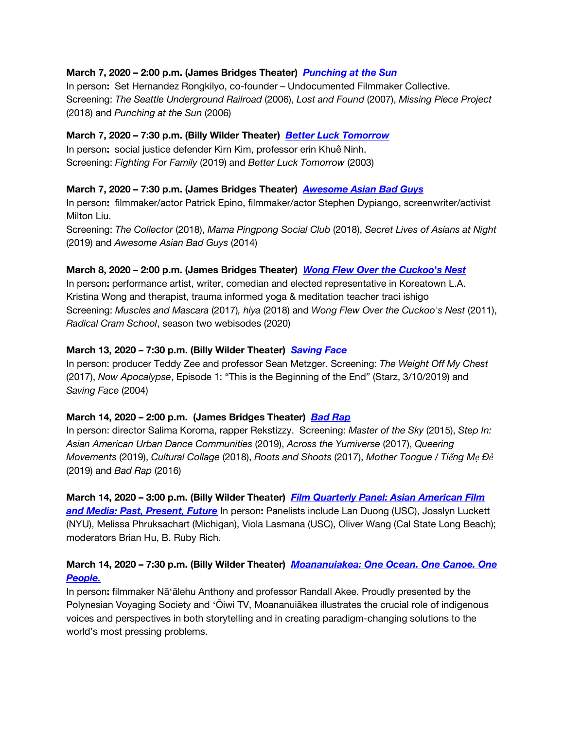## **March 7, 2020 – 2:00 p.m. (James Bridges Theater)** *[Punching at the Sun](https://www.cinema.ucla.edu/events/2020/03/07/punching-at-the-sun)*

In person**:** Set Hernandez Rongkilyo, co-founder – Undocumented Filmmaker Collective. Screening: *The Seattle Underground Railroad* (2006), *Lost and Found* (2007), *Missing Piece Project* (2018) and *Punching at the Sun* (2006)

## **March 7, 2020 – 7:30 p.m. (Billy Wilder Theater)** *[Better Luck Tomorrow](https://www.cinema.ucla.edu/events/2020/03/07/better-luck-tomorrow)*

In person**:** social justice defender Kirn Kim, professor erin Khuê Ninh. Screening: *Fighting For Family* (2019) and *Better Luck Tomorrow* (2003)

## **March 7, 2020 – 7:30 p.m. (James Bridges Theater)** *[Awesome Asian Bad Guys](https://www.cinema.ucla.edu/events/2020/03/07/awesome-asian-bad-guys)*

In person**:** filmmaker/actor Patrick Epino, filmmaker/actor Stephen Dypiango, screenwriter/activist Milton Liu.

Screening: *The Collector* (2018), *Mama Pingpong Social Club* (2018), *Secret Lives of Asians at Night* (2019) and *Awesome Asian Bad Guys* (2014)

## **March 8, 2020 – 2:00 p.m. (James Bridges Theater)** *[Wong Flew Over the Cuckoo's Nest](https://www.cinema.ucla.edu/events/2020/03/08/wong-flew-over-cuckoos-nest)*

In person**:** performance artist, writer, comedian and elected representative in Koreatown L.A. Kristina Wong and therapist, trauma informed yoga & meditation teacher traci ishigo Screening: *Muscles and Mascara* (2017)*, hiya* (2018) and *Wong Flew Over the Cuckoo's Nest* (2011), *Radical Cram School*, season two webisodes (2020)

## **March 13, 2020 – 7:30 p.m. (Billy Wilder Theater)** *[Saving Face](https://www.cinema.ucla.edu/events/2020/03/13/saving-face)*

In person: producer Teddy Zee and professor Sean Metzger. Screening: *The Weight Off My Chest* (2017), *Now Apocalypse*, Episode 1: "This is the Beginning of the End" (Starz, 3/10/2019) and *Saving Face* (2004)

## **March 14, 2020 – 2:00 p.m. (James Bridges Theater)** *[Bad Rap](https://www.cinema.ucla.edu/events/2020/03/14/bad-rap-shorts)*

In person: director Salima Koroma, rapper Rekstizzy. Screening: *Master of the Sky* (2015), *Step In: Asian American Urban Dance Communities* (2019), *Across the Yumiverse* (2017), *Queering Movements* (2019), *Cultural Collage* (2018), *Roots and Shoots* (2017), *Mother Tongue / Tiếng Mẹ Đẻ* (2019) and *Bad Rap* (2016)

**March 14, 2020 – 3:00 p.m. (Billy Wilder Theater)** *[Film Quarterly Panel: Asian American Film](https://www.cinema.ucla.edu/events/2020/03/14/film-quarterly-panel-asian-american-film)  [and Media: Past, Present, Future](https://www.cinema.ucla.edu/events/2020/03/14/film-quarterly-panel-asian-american-film)* In person**:** Panelists include Lan Duong (USC), Josslyn Luckett (NYU), Melissa Phruksachart (Michigan), Viola Lasmana (USC), Oliver Wang (Cal State Long Beach); moderators Brian Hu, B. Ruby Rich.

# **March 14, 2020 – 7:30 p.m. (Billy Wilder Theater)** *[Moananuiakea: One Ocean. One Canoe. One](https://www.cinema.ucla.edu/events/2020/03/14/moananuiakea)  [People.](https://www.cinema.ucla.edu/events/2020/03/14/moananuiakea)*

In person**:** filmmaker Nāʻālehu Anthony and professor Randall Akee. Proudly presented by the Polynesian Voyaging Society and ʻŌiwi TV, Moananuiākea illustrates the crucial role of indigenous voices and perspectives in both storytelling and in creating paradigm-changing solutions to the world's most pressing problems.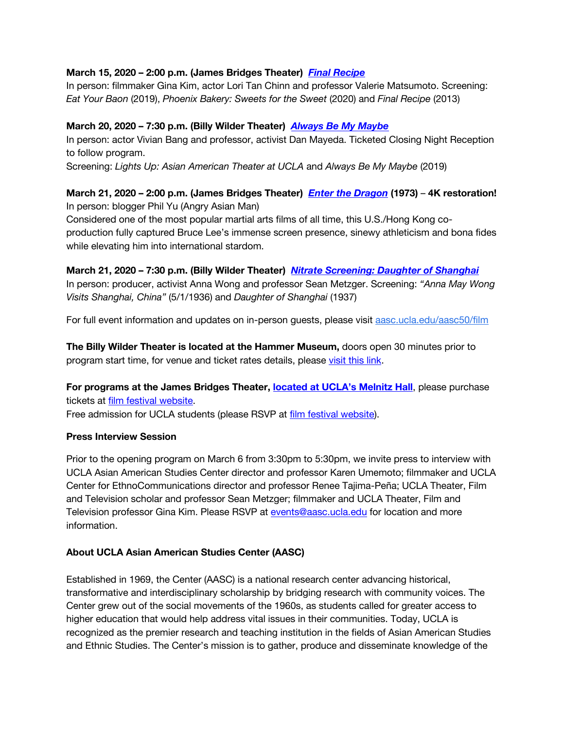## **March 15, 2020 – 2:00 p.m. (James Bridges Theater)** *[Final Recipe](https://www.cinema.ucla.edu/events/2020/03/15/final-recipe)*

In person: filmmaker Gina Kim, actor Lori Tan Chinn and professor Valerie Matsumoto. Screening: *Eat Your Baon* (2019), *Phoenix Bakery: Sweets for the Sweet* (2020) and *Final Recipe* (2013)

## **March 20, 2020 – 7:30 p.m. (Billy Wilder Theater)** *[Always Be My Maybe](https://www.cinema.ucla.edu/events/2020/03/20/always-be-my-maybe)*

In person: actor Vivian Bang and professor, activist Dan Mayeda. Ticketed Closing Night Reception to follow program.

Screening: *Lights Up: Asian American Theater at UCLA* and *Always Be My Maybe* (2019)

# **March 21, 2020 – 2:00 p.m. (James Bridges Theater)** *[Enter the Dragon](https://www.cinema.ucla.edu/events/2020/03/21/enter-the-dragon)* **(1973)** – **4K restoration!**  In person: blogger Phil Yu (Angry Asian Man)

Considered one of the most popular martial arts films of all time, this U.S./Hong Kong coproduction fully captured Bruce Lee's immense screen presence, sinewy athleticism and bona fides while elevating him into international stardom.

## **March 21, 2020 – 7:30 p.m. (Billy Wilder Theater)** *[Nitrate Screening: Daughter of Shanghai](https://www.cinema.ucla.edu/events/2020/03/21/daughter-of-shanghai)*

In person: producer, activist Anna Wong and professor Sean Metzger. Screening: *"Anna May Wong Visits Shanghai, China"* (5/1/1936) and *Daughter of Shanghai* (1937)

For full event information and updates on in-person guests, please visit [aasc.ucla.edu/aasc50/film](http://www.aasc.ucla.edu/aasc50/film/)

**The Billy Wilder Theater is located at the Hammer Museum,** doors open 30 minutes prior to program start time, for venue and ticket rates details, please [visit this link.](https://www.cinema.ucla.edu/billy-wilder-theater)

**For programs at the James Bridges Theater, [located at UCLA's Melnitz Hall](https://www.cinema.ucla.edu/james-bridges-theater)**, please purchase tickets at [film festival](http://www.aasc.ucla.edu/aasc50/film/tickets.aspx#infosec) website.

Free admission for UCLA students (please RSVP at [film festival website\)](http://www.aasc.ucla.edu/aasc50/film/tickets.aspx#infosec).

## **Press Interview Session**

Prior to the opening program on March 6 from 3:30pm to 5:30pm, we invite press to interview with UCLA Asian American Studies Center director and professor Karen Umemoto; filmmaker and UCLA Center for EthnoCommunications director and professor Renee Tajima-Peña; UCLA Theater, Film and Television scholar and professor Sean Metzger; filmmaker and UCLA Theater, Film and Television professor Gina Kim. Please RSVP at [events@aasc.ucla.edu](mailto:events@aasc.ucla.edu) for location and more information.

# **About UCLA Asian American Studies Center (AASC)**

Established in 1969, the Center (AASC) is a national research center advancing historical, transformative and interdisciplinary scholarship by bridging research with community voices. The Center grew out of the social movements of the 1960s, as students called for greater access to higher education that would help address vital issues in their communities. Today, UCLA is recognized as the premier research and teaching institution in the fields of Asian American Studies and Ethnic Studies. The Center's mission is to gather, produce and disseminate knowledge of the